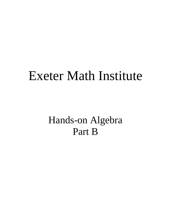# Exeter Math Institute

Hands-on Algebra Part B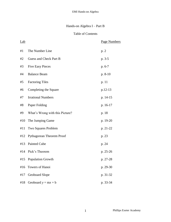## Hands-on Algebra I – Part B

## Table of Contents

| Lab |                                 | Page Numbers |
|-----|---------------------------------|--------------|
| #1  | The Number Line                 | p. 2         |
| #2  | Guess and Check Part B          | p. 3-5       |
| #3  | <b>Five Easy Pieces</b>         | $p. 6-7$     |
| #4  | <b>Balance Beam</b>             | $p. 8-10$    |
| #5  | <b>Factoring Tiles</b>          | p. 11        |
| #6  | Completing the Square           | p.12-13      |
| #7  | <b>Irrational Numbers</b>       | p. 14-15     |
| #8  | Paper Folding                   | p. 16-17     |
| #9  | What's Wrong with this Picture? | p. 18        |
| #10 | The Jumping Game                | p. 19-20     |
| #11 | Two Squares Problem             | p. 21-22     |
| #12 | Pythagorean Theorem Proof       | p. 23        |
| #13 | Painted Cube                    | p. 24        |
|     | #14 Pick's Theorem              | p. 25-26     |
| #15 | <b>Population Growth</b>        | p. 27-28     |
| #16 | Towers of Hanoi                 | p. 29-30     |
| #17 | Geoboard Slope                  | p. 31-32     |
| #18 | Geoboard $y = mx + b$           | p. 33-34     |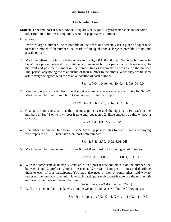## **The Number Line**

**Materials needed**: post-it notes. About 3" square size is good. A yard/meter stick and/or some other rigid item for measuring units. A roll of paper tape is optional.

Directions:

 Draw as large a number line as possible on the board or alternately use a piece of paper tape to make a model of the number line. Mark off 10 equal units as large as possible. Do not put a scale up yet.

1. Mark the left-most point 0 and the others to the right 0.1, 0.2, 0.3 etc. Write each number in Set #1 on a post-it note and distribute Set #1, one to each of six participants. Have them go to the front and post their number on the number line as accurately as possible on the number line, particularly noting the relationship of their number to the others. When they are finished, ask if everyone agrees with the relative position of each number.

[Set #1: 0.044, 0.404, 0.440, 0.444, 0.0404, 0.04]

2. Remove the post-it notes from the first set and make a new set of post-it notes for Set #2. Mark the number line from 3.6 to 3.7 in hundredths. Repeat step 2.

$$
[Set #2: 3.66, 3.666, 3.2/3, 3.667, 3.67, 3.606 ]
$$

3. Change the units now so that the left-most point is 0 and the right is 1. Put each of the numbers in Set #3 on its own post-it note and repeat step 2. Have students do this without a calculator.

$$
[Set #3: 1/4, 1/3, 2/5, 1/2, 5/8]
$$

4. Renumber the number line from –5 to 5. Make up post-it notes for step 5 and a set saying "the opposite of …". Then have them post both numbers.

$$
[Set #4: 3.46, 2.99, -0.98, 3.01, 0]]
$$

5. Mark the number line in tenths from  $-2.0$  to  $-1.0$  and post the following set of numbers.

$$
[Set #5: -1.1, -1.01, -1.001, -1.011, -1.110]
$$

6. With the same scale as in step 5, write an X on a post-it note and place it on the number line between 1 and 2, preferably not in the center. Write Set #5 on post-it notes and distribute them to each of four participants. You may also need a ruler, or some other rigid way to represent the length of one unit. Have each participant with a post-it note use the unit length to place his/her note on the number line.

to place his/her note on the number line.   
[Set #6: 
$$
x + 2
$$
,  $x - 3$ ,  $4 + x$ ,  $-3 - x$ ,  $2 - x$ ]

7. With the same number line, label a point between –1 and –2 as X. Plot the following set:

[Set #7: the opposite of X, 
$$
X-4
$$
,  $X+4$ ,  $-4+X$ ,  $-4-X$ ]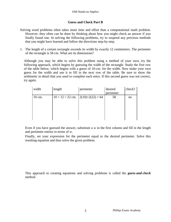## **Guess and Check Part B**

- Solving word problems often takes more time and effort than a computational math problem. However, they often can be done by thinking about how you might check an answer if you finally found one. In solving the following problems, try to suspend any previous methods that you might have learned and follow the directions step-by-step.
- 1. The length of a certain rectangle exceeds its width by exactly 12 centimeters. The perimeter of the rectangle is 58 cm. What are its dimensions?

Although you may be able to solve this problem using a method of your own, try the following approach, which begins by guessing the width of the rectangle. Study the first row of the table below, which begins with a guess of 10-cm. for the width. Now make your own guess for the width and use it to fill in the next row of the table. Be sure to show the arithmetic in detail that you used to complete each entry. If this second guess was not correct, try again.

| width  | length                                                           | perimeter | desired<br>perimeter | check? |
|--------|------------------------------------------------------------------|-----------|----------------------|--------|
| 10 cm. | $10 + 12 = 22$ cm. $\left  \frac{2(10) + 2(22)}{2} \right  = 64$ |           | 58                   | no     |

Even if you have guessed the answer, substitute a *w* in the first column and fill in the length and perimeter entries in terms of *w*.

Finally, set your expression for the perimeter equal to the desired perimeter. Solve this resulting equation and thus solve the given problem.

This approach to creating equations and solving problems is called the *guess-and-check* method.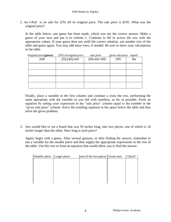2. An I-Pod is on sale for 25% off its original price. The sale price is \$195. What was the original price?

In the table below, one guess has been made, which was not the correct answer. Make a guess of your own and put it in column 1. Continue to fill in across the row with the appropriate values. If your guess does not yield the correct solution, use another row of the table and guess again. You may add more rows, if needed. Be sure to show your calculations in the table.

| Original price(guess) | 25% of original price | sale price       | given sale price | equal? |
|-----------------------|-----------------------|------------------|------------------|--------|
| 240                   | $.25(240)=60$         | $240 - 60 = 180$ | 195              | No     |
|                       |                       |                  |                  |        |
|                       |                       |                  |                  |        |
|                       |                       |                  |                  |        |
|                       |                       |                  |                  |        |

Finally, place a variable in the first column and continue a cross the row, performing the same operations with the variable as you did with numbers, as far as possible. Form an equation by setting your expression in the "sale price" column equal to the number in the "given sale price" column. Solve the resulting equation in the space below the table and thus solve the given problem.

3. Jess would like to cut a board that was 50 inches long, into two pieces, one of which is 16 inches longer than the other. How long is each piece?

Again, begin with a guess. After several guesses, or after finding the answer, remember to use a variable for the smaller piece and then supply the appropriate expressions in the row of the table. Use this row to form an equation that would allow you to find the answer.

| Smaller piece   Larger piece | sum of the two pieces   Given sum | Check? |
|------------------------------|-----------------------------------|--------|
|                              |                                   |        |
|                              |                                   |        |
|                              |                                   |        |
|                              |                                   |        |
|                              |                                   |        |
|                              |                                   |        |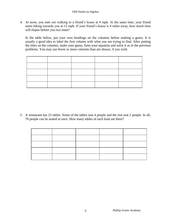4. At noon, you start out walking to a friend's house at 4 mph. At the same time, your friend starts biking towards you at 12 mph. If your friend's house is 8 miles away, how much time will elapse before you two meet?

In the table below, put your own headings on the columns before making a guess. It is usually a good idea to label the first column with what you are trying to find. After putting the titles on the columns, make your guess, form your equation and solve it as in the previous problems. You may use fewer or more columns than are shown, if you wish.

5. A restaurant has 23 tables. Some of the tables seat 4 people and the rest seat 2 people. In all, 76 people can be seated at once. How many tables of each kind are there?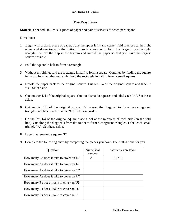## **Five Easy Pieces**

**Materials needed**: an 8 ½ x11 piece of paper and pair of scissors for each participant.

Directions:

- 1. Begin with a blank piece of paper. Take the upper left-hand corner, fold it across to the right edge, and down towards the bottom in such a way as to form the largest possible right triangle. Cut off the flap at the bottom and unfold the paper so that you have the largest square possible.
- 2. Fold the square in half to form a rectangle.
- 3. Without unfolding, fold the rectangle in half to form a square. Continue by folding the square in half to form another rectangle. Fold the rectangle in half to form a small square.
- 4. Unfold the paper back to the original square. Cut out 1/4 of the original square and label it "U". Set it aside.
- 5. Cut another 1/4 of the original square. Cut out 4 smaller squares and label each "E". Set these aside.
- 6. Cut another 1/4 of the original square. Cut across the diagonal to form two congruent triangles and label each triangle "O". Set these aside.
- 7. On the last 1/4 of the original square place a dot at the midpoint of each side (on the fold line). Cut along the diagonals from dot to dot to form 4 congruent triangles. Label each small triangle "A". Set these aside.
- 8. Label the remaining square "I".
- 9. Complete the following chart by comparing the pieces you have. The first is done for you.

| Question                                | Numerical<br>answer         | Written expression |
|-----------------------------------------|-----------------------------|--------------------|
| How many As does it take to cover an E? | $\mathcal{D}_{\mathcal{L}}$ | $2A = E$           |
| How many As does it take to cover an I? |                             |                    |
| How many As does it take to cover an O? |                             |                    |
| How many As does it take to cover an U? |                             |                    |
| How many Es does it take to cover an U? |                             |                    |
| How many Es does it take to cover an O? |                             |                    |
| How many Es does it take to cover an I? |                             |                    |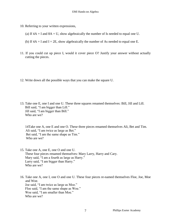- 10. Referring to your written expressions,
	- (a) If  $4A = I$  and  $8A = U$ , show algebraically the number of Is needed to equal one U.
	- (b) If  $4A = I$  and  $I = 2E$ , show algebraically the number of As needed to equal one E.
- 11. If you could cut up piece I, would it cover piece O? Justify your answer without actually cutting the pieces.
- 12. Write down all the possible ways that you can make the square U.
- 13. Take one E, one I and one U. These three squares renamed themselves: Bill, Jill and Lill. Bill said, "I am bigger than Lill." Jill said, "I am bigger than Bill." Who are we?

14Take one A, one E and one O. These three pieces renamed themselves Ali, Bet and Tim. Ali said, "I am twice as large as Bet." Bet said, "I am the same shape as Tim." Who are we?

15. Take one A, one E, one O and one U. These four pieces renamed themselves: Mary Larry, Harry and Cary. Mary said, "I am a fourth as large as Harry." Larry said, "I am bigger than Harry." Who are we?

16. Take one A, one I, one O and one U. These four pieces re-named themselves Floe, Joe, Moe and Woe. Joe said, "I am twice as large as Moe." Floe said, "I am the same shape as Woe." Woe said, "I am smaller than Moe." Who are we?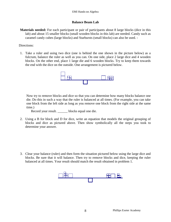#### **Balance Beam Lab**

**Materials needed:** For each participant or pair of participants about 8 large blocks (dice in this lab) and about 15 smaller blocks (small wooden blocks in this lab) are needed. Candy such as caramel candy cubes (large blocks) and Starbursts (small blocks) can also be used. -

#### Directions:

1. Take a ruler and using two dice (one is behind the one shown in the picture below) as a fulcrum, balance the ruler as well as you can. On one side, place 2 large dice and 4 wooden blocks. On the other end, place 1 large die and 6 wooden blocks. Try to keep them towards the end with the dice on the outside. One arrangement is pictured below.



Now try to remove blocks and dice so that you can determine how many blocks balance one die. Do this in such a way that the ruler is balanced at all times. (For example, you can take one block from the left side as long as you remove one block from the right side at the same time.)

Record your result. blocks equal one die.

2. Using a B for block and D for dice, write an equation that models the original grouping of blocks and dice as pictured above. Then show symbolically all the steps you took to determine your answer.

3. Clear your balance (ruler) and then form the situation pictured below using the large dice and blocks. Be sure that it will balance. Then try to remove blocks and dice, keeping the ruler balanced at all times. Your result should match the result obtained in problem 1.

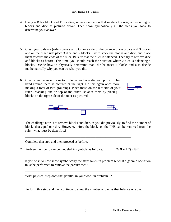#### EMI Hands-on Algebra

- 4. Using a B for block and D for dice, write an equation that models the original grouping of blocks and dice as pictured above. Then show symbolically all the steps you took to determine your answer.
- 5. Clear your balance (ruler) once again. On one side of the balance place 5 dice and 3 blocks and on the other side place 3 dice and 7 blocks. Try to stack the blocks and dice, and place them towards the ends of the ruler. Be sure that the ruler is balanced. Then try to remove dice and blocks as before. This time, you should reach the situation where 2 dice is balancing 4 blocks. Decide how to physically determine that 1die balances 2 blocks and also decide mathematically why you can do what you did.
- 6. Clear your balance. Take two blocks and one die and put a rubber band around them as pictured at the right. Do this again once more, making a total of two groupings. Place these on the left side of your ruler , stacking one on top of the other. Balance them by placing 8 blocks on the right side of the ruler as pictured.





\_\_\_\_\_\_\_\_\_\_\_\_\_\_\_\_\_\_\_\_\_\_\_\_\_\_\_\_\_\_\_\_\_\_\_\_\_\_\_\_\_\_\_\_\_\_\_\_\_\_\_\_\_\_\_\_\_\_\_\_\_\_\_

The challenge now is to remove blocks and dice, as you did previously, to find the number of blocks that equal one die. However, before the blocks on the LHS can be removed from the ruler, what must be done first?

Complete that step and then proceed as before.

7. Problem number 6 can be modeled in symbols as follows:

 $2(D + 2B) = 8B$ 

If you wish to now show symbolically the steps taken in problem 6, what algebraic operation must be performed to remove the parentheses?

What physical step does that parallel in your work in problem 6?

Perform this step and then continue to show the number of blocks that balance one die.

\_\_\_\_\_\_\_\_\_\_\_\_\_\_\_\_\_\_\_\_\_\_\_\_\_\_\_\_\_\_\_\_\_\_\_\_\_\_\_\_\_\_\_\_\_\_\_\_\_\_\_\_\_\_\_\_\_\_\_\_\_\_\_\_\_\_\_\_\_

\_\_\_\_\_\_\_\_\_\_\_\_\_\_\_\_\_\_\_\_\_\_\_\_\_\_\_\_\_\_\_\_\_\_\_\_\_\_\_\_\_\_\_\_\_\_\_\_\_\_\_\_\_\_\_\_\_\_\_\_\_\_\_\_\_\_\_\_\_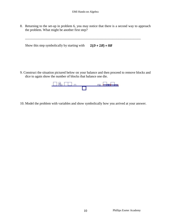8. Returning to the set-up in problem 6, you may notice that there is a second way to approach the problem. What might be another first step?

\_\_\_\_\_\_\_\_\_\_\_\_\_\_\_\_\_\_\_\_\_\_\_\_\_\_\_\_\_\_\_\_\_\_\_\_\_\_\_\_\_\_\_\_\_\_\_\_\_\_\_\_\_\_\_\_\_\_\_\_\_\_\_\_\_\_\_\_\_

Show this step symbolically by starting with  $2(D + 2B) = 8B$ 

9. Construct the situation pictured below on your balance and then proceed to remove blocks and dice to again show the number of blocks that balance one die.



10. Model the problem with variables and show symbolically how you arrived at your answer.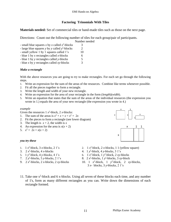## **Factoring Trinomials With Tiles**

**Materials needed:** Set of commercial tiles or hand-made tiles such as those on the next page.

Directions: Count out the following number of tiles for each group/pair of participants.

|                                                  | Number needed |
|--------------------------------------------------|---------------|
| - small blue squares x by x called $x^2$ -blocks | 3             |
| - large blue squares y by y called $y^2$ -blocks | 2             |
| - small yellow 1 by 1 squares called 1's         | 10            |
| - blue 1 by x rectangles called x-blocks         | 6             |
| - blue 1 by y rectangles called y-blocks         | 5             |
| - blue $x$ by $y$ rectangles called $xy$ -blocks | 3             |
|                                                  |               |

#### *Make a rectangle*

With the above resources you are going to try to make rectangles. For each set go through the following steps.

- 1. Write an expression for the sum of the areas of the resources. Combine like terms whenever possible.
- 2. Fit all the pieces together to form a rectangle.
- 3. Write the length and width of your new rectangle.
- 4. Write an expression for the area of your rectangle in the form (*length*)(*width*).
- 5. Write an equation that states that the sum of the areas of the individual resources (the expression you wrote in 1.) equals the area of your new rectangle (the expression you wrote in 4.)

#### *example*

Given the resources  $1 x^2$ -block,  $2 x$ -blocks:

- 1. The sum of the areas is  $x^2 + x + x = x^2 + 2x$
- 2. Fit the pieces to form a rectangle (see lower diagram)
- 3. The length is  $x + 2$ , the width is x
- 4. An expression for the area is  $x(x + 2)$
- 5.  $x^2 + 2x = x(x + 2)$





#### *you try these*

- 1.  $1 x^2$ -block, 3 *x*-blocks, 2 1's
- 3.  $2x^2$ -blocks, 4 *x*-blocks
- 5. 1 *y* 2 -block, 4 *y*-blocks, 4 1's
- 7. 2 *y* 2 -blocks, 5 *y*-blocks, 2 1's
- 9.  $2x^2$ -blocks,  $2x$ -blocks,  $2xy$ -blocks
- 2.  $1 x^2$ -block, 2 *x*-blocks, 1 1 (yellow square)
- 4. 1 *y* 2 -block, 4 *y*-blocks, 3 1's
- 6. 1  $x^2$ -block, 1  $y^2$ -block, 2  $xy$ -blocks
- 8.  $2x^2$ -blocks, 1 *y*<sup>2</sup>-blocks, 3 *xy*-block
- 10. 1  $x^2$ -block, 1  $y^2$ -block, 2  $xy$ -blocks, 3 *x*- blocks, 3 *y*-blocks, 2 1's
- 11. Take one  $x^2$ -block and 6 x-blocks. Using all seven of these blocks each time, and any number of 1's, form as many different rectangles as you can. Write down the dimensions of each rectangle formed.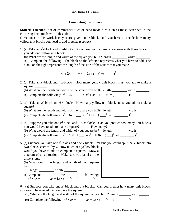#### **Completing the Square**

**Materials needed:** Set of commercial tiles or hand-made tiles such as those described in the Factoring Trinomials with Tiles lab.

Directions: In this worksheet you are given some blocks and you have to decide how many yellow unit blocks you need to add to *make a square.*

1. (a) Take an  $x^2$ -block and 2 *x*-blocks. Show how you can make a square with these blocks if you add one yellow unit block.

(b) What are the length and width of the square you built? length width width (c) Complete the following. The blank on the left side represents what you have to add. The blank on the right represents the length of the side of the square that you made.

$$
x^{2} + 2x + \dots = x^{2} + 2x + \dots^{2} = (\dots)^{2}
$$

- 2. (a) Take an  $x^2$ -block and 4 *x*-blocks. How many yellow unit blocks must you add to make a square?
	- (b) What are the length and width of the square you built? length  $\frac{1}{\sqrt{1-\frac{1}{n}}}\$  width  $\frac{1}{\sqrt{1-\frac{1}{n}}}\$
	- (c) Complete the following:  $x^2 + 4x +$  \_\_\_ =  $x^2 + 4x +$  ( \_\_\_)<sup>2</sup> = ( \_\_\_\_\_\_\_\_\_\_)<sup>2</sup>
- 3. (a) Take an  $x^2$ -block and 6 *x*-blocks. How many yellow unit blocks must you add to make a square?
	- (b) What are the length and width of the square you built? length \_\_\_\_\_\_\_\_\_ width \_\_\_\_\_\_\_\_
	- (c) Complete the following:  $x^2 + 6x + \underline{\hspace{1cm}} = x^2 + 6x + (\underline{\hspace{1cm}})^2 = (\underline{\hspace{1cm}})^2$
- 4 (a) Suppose you take one  $x^2$ -block and 100 *x*-blocks. Can you predict how many unit blocks you would have to add to make a square? How many?
	- (b) What would the length and width of your square be? length width  $\frac{1}{2}$ (c) Complete the following:  $x^2 + 100x +$   $\qquad = x^2 + 100x +$   $\qquad \qquad$   $\qquad =$   $\qquad =$   $\qquad$
- 5. (a) Suppose you take one  $x^2$ -block and *one* x-block. Imagine you could split the x-block into two blocks, each ½ by *x*. How much of a yellow block

would you have to add to complete a square? Draw a diagram of this situation. Make sure you label all the dimensions.

(b) What would the length and width of your square be?

length \_\_\_\_\_\_\_\_\_\_\_ width \_\_\_\_\_\_\_\_\_ (c)Complete the following:  $x^2 + 1x + \underline{\hspace{1cm}} = x^2 + 1x + (\underline{\hspace{1cm}})^2 = (\underline{\hspace{1cm}})^2$ 

6. (a) Suppose you take one  $x^2$ -block and  $p$  x-blocks. Can you predict how many unit blocks you would have to add to complete the square?

- (b) What are the length and width of the square that you built? length \_\_\_\_\_\_ width\_\_\_\_\_\_
- (c) Complete the following:  $x^2 + px + \underline{\hspace{1cm}} = x^2 + px + (\underline{\hspace{1cm}})^2 = (\underline{\hspace{1cm}})^2$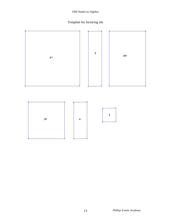#### EMI Hands-on Algebra

# Template for factoring tile

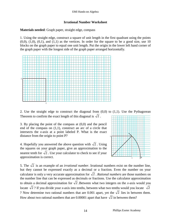#### **Irrational Number Worksheet**

## **Materials needed**: Graph paper, straight edge, compass

1. Using the straight edge, construct a square of unit length in the first quadrant using the points  $(0,0)$ ,  $(1,0)$ ,  $(0,1)$ , and  $(1,1)$  as the vertices. In order for the square to be a good size, use 10 blocks on the graph paper to equal one unit length. Put the origin in the lower left hand corner of the graph paper with the longest side of the graph paper arranged horizontally.



2. Use the straight edge to construct the diagonal from  $(0,0)$  to  $(1,1)$ . Use the Pythagorean Theorem to confirm the exact length of this diagonal is  $\sqrt{2}$ .

3. By placing the point of the compass at (0,0) and the pencil end of the compass on (1,1), construct an arc of a circle that intersects the *x*-axis at a point labeled P. What is the exact distance from the origin to point P?

4. Hopefully you answered the above question with  $\sqrt{2}$ . Using the squares on your graph paper, give an approximation to the nearest tenth for  $\sqrt{2}$  . Use your calculator to check to see if your approximation is correct.



5. The  $\sqrt{2}$  is an example of an *irrational number*. Irrational numbers exist on the number line, but they cannot be expressed exactly as a decimal or a fraction. Even the number on your calculator is only a very accurate approximation for  $\sqrt{2}$ . *Rational numbers* are those numbers on the number line that can be expressed as decimals or fractions. Use the calculator approximation to obtain a decimal approximation for  $\sqrt{2}$  . Between what two integers on the *x*-axis would you locate  $\sqrt{2}$ ? If you divide your *x*-axis into tenths, between what two tenths would you locate  $\sqrt{2}$ ? Now determine two rational numbers that are 0.001 apart, yet the  $\sqrt{2}$  lies in between them. How about two rational numbers that are 0.00001 apart that have  $\sqrt{2}$  in between them?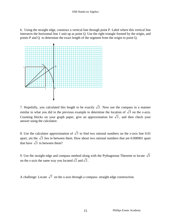6. Using the straight edge, construct a vertical line through point P. Label where this vertical line intersects the horizontal line 1 unit up as point Q. Use the right triangle formed by the origin, and points P and Q to determine the exact length of the segment from the origin to point Q.



7. Hopefully, you calculated this length to be exactly  $\sqrt{3}$ . Now use the compass in a manner similar to what you did in the previous example to determine the location of  $\sqrt{3}$  on the *x*-axis. Counting blocks on your graph paper, give an approximation for  $\sqrt{3}$ , and then check your answer using the calculator.

8. Use the calculator approximation of  $\sqrt{3}$  to find two rational numbers on the *x*-axis line 0.01 apart, yet the  $\sqrt{3}$  lies in between them. How about two rational numbers that are 0.000001 apart that have  $\sqrt{3}$  in between them?

9. Use the straight edge and compass method along with the Pythagorean Theorem to locate  $\sqrt{5}$ on the *x*-axis the same way you located  $\sqrt{2}$  and  $\sqrt{3}$ .

A challenge: Locate  $\sqrt{7}$  on the *x*-axis through a compass-straight edge construction.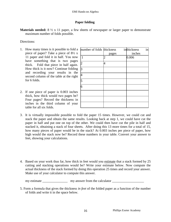#### **Paper folding**

**Materials needed:** 8 ½ x 11 paper, a few sheets of newspaper or larger paper to demonstrate maximum number of folds possible.

#### Directions:

- 1. How many times is it possible to fold a piece of paper? Take a piece of 8½ x 11 paper and fold it in half. You now have something that is two pages thick. Fold that piece in half again. How thick is it now? Continue folding and recording your results in the second column of the table at the right for 6 folds.
- 2. If one piece of paper is 0.003 inches thick, how thick would two pages be? Four pages? Record the thickness in inches in the third column of your table for all six folds.

| number of folds thickness |       | inthickness | in |
|---------------------------|-------|-------------|----|
|                           | pages | inches      |    |
| 1                         |       | 0.006       |    |
| $\overline{c}$            | 4     |             |    |
| $\overline{3}$            |       |             |    |
| $\overline{4}$            |       |             |    |
| $\frac{1}{6}$             |       |             |    |
|                           |       |             |    |
|                           |       |             |    |
|                           |       |             |    |
|                           |       |             |    |

- 3. It is virtually impossible possible to fold the paper 15 times. However, we could cut and stack the paper and obtain the same results. Looking back at step 1, we could have cut the paper in half and put one on top of the other. We could then have cut the pile in half and stacked it, obtaining a stack of four sheets. After doing this 13 more times for a total of 15, how many pieces of paper would be in the stack? At 0.003 inches per piece of paper, how high would the stack now be? Record these numbers in your table. Convert your answer to feet, showing your calculations.
- 4. Based on your work thus far, how thick in feet would you estimate that a stack formed by 25 cutting and stacking operations would be? Write your estimate below. Now compute the actual thickness of the stack formed by doing this operation 25 times and record your answer. Make use of your calculator to compute this answer.

my estimate \_\_\_\_\_\_\_\_\_\_\_\_\_\_\_ my answer from the calculator \_\_\_\_\_\_\_\_\_\_\_\_\_\_\_\_\_\_\_

5. Form a formula that gives the thickness *in feet* of the folded paper as a function of the number of folds and write it in the space below.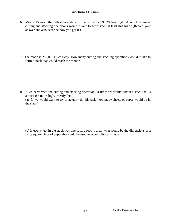6. Mount Everest, the tallest mountain in the world is 29,028 feet high. About how many cutting and stacking operations would it take to get a stack at least this high? (Record your answer and also describe how you got it.)

7. The moon is 286,000 *miles* away. How many cutting and stacking operations would it take to form a stack that would reach the moon?

8. If we performed the cutting and stacking operation 24 times we would obtain a stack that is almost 0.8 miles high. (Verify this.) (a) If we would want to try to actually do this task, how many sheets of paper would be in the stack?

(b) If each sheet in the stack was one square foot in area, what would be the dimensions of a large square piece of paper that could be used to accomplish this task?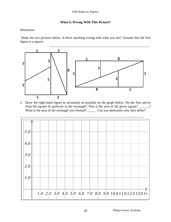## **What Is Wrong With This Picture?**

Directions:

Study the two pictures below. Is there anything wrong with what you see? Assume that the first figure is a square.



2. Draw the right-hand figure as accurately as possible on the graph below. Do the four pieces from the square fit perfectly in the rectangle? That is the area of the given square? \_\_\_\_\_\_? What is the area of the rectangle you formed? \_\_\_\_\_\_\_ Can you determine why they differ?

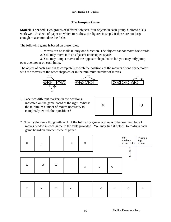## **The Jumping Game**

**Materials needed**: Two groups of different objects, four objects in each group. Colored disks work well. A sheet of paper on which to re-draw the figures in step 2 if these are not large enough to accommodate the disks.

The following game is based on these rules:

- 1. Moves can be made in only one direction. The objects cannot move backwards.
- 2. You may move into an adjacent unoccupied space.

3. You may jump a mover of the opposite shape/color, but you may only jump over one mover on each jump.

The object of each game is to completely switch the positions of the movers of one shape/color with the movers of the other shape/color in the minimum number of moves. ame is to completely switch the positions of the movers of one shape<br>ne other shape/color in the minimum number of moves.



1. Place two different markers in the positions indicated on the game board at the right. What is the minimum number of moves necessary to completely switch their positions?

| $\mathbf{\nabla}$<br>د ، | $\cdot$ ) |
|--------------------------|-----------|
|                          |           |

2. Now try the same thing with each of the following games and record the least number of moves needed in each game in the table provided. You may find it helpful to re-draw each game board on another piece of paper.

| $\mathbf X$ | $\mathbf X$ |             | $\circ$     | $\bigcirc$ |            |                     | # of<br>markers<br>of one color<br>$\mathbf{1}$ | minimum<br># of<br>moves |
|-------------|-------------|-------------|-------------|------------|------------|---------------------|-------------------------------------------------|--------------------------|
|             |             |             |             |            |            |                     | $\begin{array}{c} 2 \\ 3 \\ 4 \end{array}$      |                          |
| $\mathbf X$ | $\mathsf X$ | $\mathbf X$ |             | $\bigcirc$ | $\bigcirc$ | $\circlearrowright$ |                                                 |                          |
|             |             |             |             |            |            |                     |                                                 |                          |
| $\mathbf X$ | $\mathbf X$ | $\mathbf X$ | $\mathbf X$ |            | $\circ$    | $\bigcirc$          | $\circ$                                         | $\circ$                  |
|             |             |             |             | 19         |            |                     | Phillips Exeter Academy                         |                          |

| $\mathbf x$ | $\mathbb{R}$ | $\left\vert x\right\vert =\left\vert x\right\vert =\left\vert x\right\vert$ |  | $\circ$ 1 | $\circ$ 0 |  |
|-------------|--------------|-----------------------------------------------------------------------------|--|-----------|-----------|--|
|             |              |                                                                             |  |           |           |  |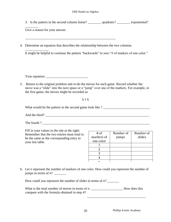3. Is the pattern in the second column linear? \_\_\_\_\_\_\_\_\_\_ quadratic? \_\_\_\_\_\_\_\_\_\_ exponential?

Give a reason for your answer.

 $\overline{\phantom{a}}$  . The set of the set of the set of the set of the set of the set of the set of the set of the set of the set of the set of the set of the set of the set of the set of the set of the set of the set of the set o

4. Determine an equation that describes the relationship between the two columns.

\_\_\_\_\_\_\_\_\_\_\_\_\_\_\_\_\_\_\_\_\_\_\_\_\_\_\_\_\_\_\_\_\_\_\_\_\_\_\_\_\_\_\_\_\_\_\_\_\_\_\_\_\_\_

\_\_\_\_\_\_\_\_\_\_\_\_\_\_ It might be helpful to continue the pattern "backwards" to zero "# of markers of one color."

Your equation: \_\_\_\_\_\_\_\_\_\_\_\_\_\_\_\_\_\_\_\_\_\_\_\_\_

5. Return to the original problem and re-do the moves for each game. Record whether the move was a "slide" into the next space or a "jump" over one of the markers. For example, in the first game, the moves might be recorded as

## S J S

What would be the pattern in the second game look like ? \_\_\_\_\_\_\_\_\_\_\_\_\_\_\_\_\_\_\_\_\_\_\_\_

And the third?

The fourth ?

Fill in your values in the tale at the right: Remember that the two entries must total to be the same as the corresponding entry in your last table.

| $#$ of     | Number of | Number of |
|------------|-----------|-----------|
| markers of | jumps     | slides    |
| one color  |           |           |
|            |           |           |
|            |           |           |
| 2          |           |           |
|            |           |           |
|            |           |           |

6. Let *n* represent the number of markers of one color. How could you represent the number of jumps in terms of  $n$ ?

How could you represent the number of slides in terms of *n*?

What is the total number of moves in terms of *n*. \_\_\_\_\_\_\_\_\_\_\_\_\_\_\_\_\_\_\_\_\_\_\_\_\_\_How does this compare with the formula obtained in step 4?  $\overline{\phantom{a}}$  ,  $\overline{\phantom{a}}$  ,  $\overline{\phantom{a}}$  ,  $\overline{\phantom{a}}$  ,  $\overline{\phantom{a}}$  ,  $\overline{\phantom{a}}$  ,  $\overline{\phantom{a}}$  ,  $\overline{\phantom{a}}$  ,  $\overline{\phantom{a}}$  ,  $\overline{\phantom{a}}$  ,  $\overline{\phantom{a}}$  ,  $\overline{\phantom{a}}$  ,  $\overline{\phantom{a}}$  ,  $\overline{\phantom{a}}$  ,  $\overline{\phantom{a}}$  ,  $\overline{\phantom{a}}$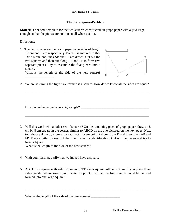#### **The Two-SquaresProblem**

**Materials needed**: template for the two squares constructed on graph paper with a grid large enough so that the pieces are not too small when cut out.

Directions:

\_\_\_\_\_\_\_\_\_\_\_\_\_\_\_\_\_

1. The two squares on the graph paper have sides of length 12 cm and 5 cm respectively. Point P is marked so that  $DP = 5$  cm. and lines AP and PF are drawn. Cut out the two squares and then cut along AP and PF to form five separate pieces. Try to assemble the five pieces into a square. What is the length of the side of the new square?



2. We are assuming the figure we formed is a square. How do we know all the sides are equal?

\_\_\_\_\_\_\_\_\_\_\_\_\_\_\_\_\_\_\_\_\_\_\_\_\_\_\_\_\_\_\_\_\_\_\_\_\_\_\_\_\_\_\_\_\_\_\_\_\_\_\_\_\_\_\_\_\_\_\_\_\_\_\_\_\_\_\_\_\_\_\_\_\_\_

\_\_\_\_\_\_\_\_\_\_\_\_\_\_\_\_\_\_\_\_\_\_\_\_\_\_\_\_\_\_\_\_\_\_\_\_\_\_\_\_\_\_\_\_\_\_\_\_\_\_\_\_\_\_\_\_\_\_\_\_\_\_\_\_\_\_\_\_\_\_\_\_\_\_

\_\_\_\_\_\_\_\_\_\_\_\_\_\_\_\_\_\_\_\_\_\_\_\_\_\_\_\_\_\_\_\_\_\_\_\_\_\_\_\_\_\_\_\_\_\_\_\_\_\_\_\_\_\_\_\_\_\_\_\_\_\_\_\_\_\_\_\_\_\_\_\_\_\_

How do we know we have a right angle? \_\_\_\_\_\_\_\_\_\_\_\_\_\_\_\_\_\_\_\_\_\_\_\_\_\_\_\_\_\_\_\_\_\_\_\_\_\_\_\_\_

3. Will this work with another set of squares? On the remaining piece of graph paper, draw an 8 cm by 8 cm square in the corner, similar to ABCD on the one pictured on the next page. Next to it draw a 4 cm by 4 cm square CEFG. Locate point P 4 cm. from D and draw lines AP and FP. Place a letter on each of the five pieces for identification. Cut out the pieces and try to form a square.

What is the length of the side of the new square? \_\_\_\_\_\_\_\_\_\_\_\_\_\_\_\_\_\_\_\_\_\_\_\_\_\_\_\_\_\_\_

- 4. With your partner, verify that we indeed have a square.
- 5. ABCD is a square with side 12 cm and CEFG is a square with side 9 cm. If you place them side-by-side, where would you locate the point P so that the two squares could be cut and formed into one large square?

\_\_\_\_\_\_\_\_\_\_\_\_\_\_\_\_\_\_\_\_\_\_\_\_\_\_\_\_\_\_\_\_\_\_\_\_\_\_\_\_\_\_\_\_\_\_\_\_\_\_\_\_\_\_\_\_\_\_\_\_\_\_\_\_\_\_\_\_\_\_\_\_\_\_

\_\_\_\_\_\_\_\_\_\_\_\_\_\_\_\_\_\_\_\_\_\_\_\_\_\_\_\_\_\_\_\_\_\_\_\_\_\_\_\_\_\_\_\_\_\_\_\_\_\_\_\_\_\_\_\_\_\_\_\_\_\_\_\_\_\_\_\_\_\_\_\_\_\_

What is the length of the side of the new square?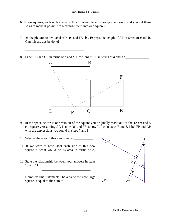#### EMI Hands-on Algebra

- 6. If two squares, each with a side of 10 cm. were placed side-by-side, how could you cut them so as to make it possible to rearrange them into one square?
- 7. On the picture below, label AD "*a*" and FE "*b*". Express the length of AP in terms of *a* and *b*. Can this always be done?

\_\_\_\_\_\_\_\_\_\_\_\_\_\_\_\_\_\_\_\_\_\_\_\_\_\_\_\_\_\_\_\_\_\_\_\_\_\_\_\_\_\_\_\_\_\_\_\_\_\_\_\_\_\_\_\_\_\_\_\_\_\_\_\_\_\_\_\_\_\_\_\_\_\_

8. Label PC and CE in terms of *a* and *b*. How long is FP in terms of *a* and *b*? \_\_\_\_\_\_\_\_\_\_\_\_\_\_



- 9. In the space below is one version of the square you originally made out of the 12 cm and 5 cm squares. Assuming AD is now "**a**" and FE is now "**b**" as in steps 7 and 8, label FP and AP with the expressions you found in steps 7 and 8.
- 10. What is the area of this new square?

\_\_\_\_\_\_

\_\_\_\_\_\_\_\_\_\_\_\_\_\_\_\_\_\_\_\_\_\_\_\_\_\_\_\_\_\_\_\_\_\_\_

- 11. If we were to now label each side of this new square c, what would be its area in terms of c?
- 12. State the relationship between your answers in steps 10 and 11.

 $\overline{\phantom{a}}$  , which is the set of the set of the set of the set of the set of the set of the set of the set of the set of the set of the set of the set of the set of the set of the set of the set of the set of the set of

13. Complete this statement: The area of the new large square is equal to the sum of

\_\_\_\_\_\_\_\_\_\_\_\_\_\_\_\_\_\_\_\_\_\_\_\_\_\_\_\_\_\_\_\_\_\_\_\_\_\_\_\_\_

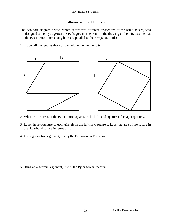## **Pythagorean Proof Problem**

- The two-part diagram below, which shows two different dissections of the same square, was designed to help you *prove* the Pythagorean Theorem. In the drawing at the left, assume that the two interior intersecting lines are parallel to their respective sides.
- 1. Label all the lengths that you can with either an *a* or a *b*.



- 2. What are the areas of the two interior squares in the left-hand square? Label appropriately.
- 3. Label the hypotenuse of each triangle in the left-hand square *c*. Label the area of the square in the right-hand square in terms of *c*.

\_\_\_\_\_\_\_\_\_\_\_\_\_\_\_\_\_\_\_\_\_\_\_\_\_\_\_\_\_\_\_\_\_\_\_\_\_\_\_\_\_\_\_\_\_\_\_\_\_\_\_\_\_\_\_\_\_\_\_\_\_\_\_\_\_\_\_\_\_\_\_\_\_\_\_

\_\_\_\_\_\_\_\_\_\_\_\_\_\_\_\_\_\_\_\_\_\_\_\_\_\_\_\_\_\_\_\_\_\_\_\_\_\_\_\_\_\_\_\_\_\_\_\_\_\_\_\_\_\_\_\_\_\_\_\_\_\_\_\_\_\_\_\_\_\_\_\_\_\_\_

\_\_\_\_\_\_\_\_\_\_\_\_\_\_\_\_\_\_\_\_\_\_\_\_\_\_\_\_\_\_\_\_\_\_\_\_\_\_\_\_\_\_\_\_\_\_\_\_\_\_\_\_\_\_\_\_\_\_\_\_\_\_\_\_\_\_\_\_\_\_\_\_\_\_\_

4. Use a geometric argument, justify the Pythagorean Theorem.

5. Using an algebraic argument, justify the Pythagorean theorem.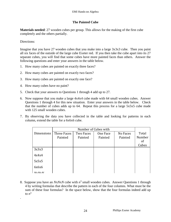## **The Painted Cube**

**Materials needed**: 27 wooden cubes per group. This allows for the making of the first cube completely and the others partially.

#### Directions:

.

Imagine that you have 27 wooden cubes that you make into a large 3x3x3 cube. Then you paint all six faces of the outside of the large cube Exeter red. If you then take the cube apart into its 27 separate cubes, you will find that some cubes have more painted faces than others. Answer the following questions and enter your answers in the table below.

- 1. How many cubes are painted on exactly three faces?
- 2. How many cubes are painted on exactly two faces?
- 3. How many cubes are painted on exactly one face?
- 4. How many cubes have no paint?
- 5. Check that your answers to Questions 1 through 4 add up to 27.
- 6. Now suppose that you make a large 4x4x4 cube made with 64 small wooden cubes. Answer Questions 1 through 4 for this new situation. Enter your answers in the table below. Check that the number of cubes adds up to 64. Repeat this process for a large 5x5x5 cube made with 125 small wooden cubes.
- 7. By observing the data you have collected in the table and looking for patterns in each column, extend the table for a 6x6x6 cube.

|            | Number of Cubes with |           |          |          |               |
|------------|----------------------|-----------|----------|----------|---------------|
| Dimensions | Three Faces          | Two Faces | One Face | No Faces | Total         |
|            | Painted              | Painted   | Painted  | Painted  | Number        |
|            |                      |           |          |          | <sub>of</sub> |
|            |                      |           |          |          | Cubes         |
| 3x3x3      |                      |           |          |          |               |
| 4x4x4      |                      |           |          |          |               |
| 5x5x5      |                      |           |          |          |               |
| 6x6x6      |                      |           |          |          |               |
| NvNvN      |                      |           |          |          |               |

8. Suppose you have an  $NxNxN$  cube with  $n^3$  small wooden cubes. Answer Questions 1 through 4 by writing formulas that describe the pattern in each of the four columns. What must be the sum of these four formulas? In the space below, show that the four formulas indeed add up to  $n^3$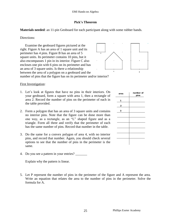#### **Pick's Theorem**

**Materials needed**: an 11-pin Geoboard for each participant along with some rubber bands.

#### Directions:

 Examine the geoboard figures pictured at the right. Figure A has an area of 1 square unit and its perimeter has 4 pins. Figure B has an area of 5 square units. Its perimeter contains 10 pins, but it also encompasses 1 pin in its interior. Figure C also encloses one pin with 6 pins on its perimeter and has an area of 3 square units. Is there a relationship between the area of a polygon on a geoboard and the



number of pins that the figure has on its perimeter and/or interior?

#### First Investigation:

- 1. Let's look at figures that have no pins in their interiors. On your geoboard, form a square with area 1, then a rectangle of area 2. Record the number of pins on the perimeter of each in the table provided.
- 2. Form a polygon that has an area of 3 square units and contains no interior pins. Note that the figure can be done more than one way, as a rectangle, as an "L" shaped figure and as a triangle. Form all three and verify that the perimeter of each has the same number of pins. Record that number in the table.
- 3. Do the same for a convex polygon of area 4, with no interior pins, and record that number. Again, you should check several options to see that the number of pins in the perimeter is the same.
- 4. Do you see a pattern in your entries? \_\_\_\_\_\_\_

Explain why the pattern is linear.

5. Let P represent the number of pins in the perimeter of the figure and A represent the area. Write an equation that relates the area to the number of pins in the perimeter. Solve the formula for A.

| area | number of<br>pins |
|------|-------------------|
| 1    |                   |
| 2    |                   |
| 3    |                   |
|      |                   |
|      |                   |
|      |                   |
|      |                   |
|      |                   |
|      |                   |
|      |                   |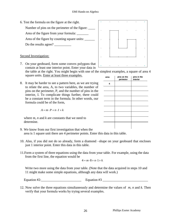- 6. Test the formula on the figure at the right.
	- Number of pins on the perimeter of the figure:
	- Area of the figure from your formula: \_\_\_\_\_\_\_

Area of the figure by counting square units:

Do the results agree? \_\_\_\_\_\_\_\_\_\_

## Second Investigation:

7. On your geoboard, form some convex polygons that contain at least one interior point. Enter your data in the table at the right. You might begin with one of the simplest examples, a square of area 4

square units. Enter at least three examples.

8. It may be harder to see a pattern here, as we are trying to relate the area, A, to two variables, the number of pins on the perimeter, P, and the number of pins in the interior, I. To complicate things further, there could be a constant term in the formula. In other words, our formula could be of the form,

$$
A = m \cdot P + n \cdot I + k
$$

where *m*, *n* and *k* are constants that we need to determine.

- 9. We know from our first investigation that when the area is 1 square unit there are 4 perimeter points. Enter this data in this table.
- 10. Also, if you did not do so already, form a diamond –shape on your geoboard that encloses just 1 interior point. Enter this data in this table.
- 11.Form a system of three equations using the data from your table. For example, using the data from the first line, the equation would be

$$
4 = m \cdot 8 + n \cdot 1 + k
$$

Write two more using the data from your table. (Note that the data acquired in steps 10 and 11 might make some simple equations, although any data will work.)

Equation #2:\_\_\_\_\_\_\_\_\_\_\_\_\_\_\_\_\_\_\_\_\_\_\_\_ Equation #3 \_\_\_\_\_\_\_\_\_\_\_\_\_\_\_\_\_\_\_\_\_\_\_\_\_\_\_

12. Now solve the three equations simultaneously and determine the values of *m*, *n* and *k.* Then verify that your formula works by trying several examples.

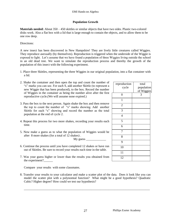#### **Population Growth**

**Materials needed:** About 350 – 450 skittles or similar objects that have two sides. Plastic two-colored disks work. Also a flat box with a lid that is large enough to contain the objects, and to allow them to be one row deep.

Directions:

time.

A new insect has been discovered in New Hampshire! They are lively little creatures called Wiggies. They reproduce asexually (by themselves). Reproduction is triggered when the underside of the Wiggie is exposed to light. Let's assume that we have found a population of three Wiggies living outside the school in an old dead tree. We want to simulate the reproduction process and thereby the growth of the population of this insect with the following experiment.

- 1. Place three Skittles, representing the three Wiggies in our original population, into a flat container with a lid.
- 2. Shake the container and then open the top and count the number of "s" marks you can see. For each S, add another Skittle (to represent a new Wiggie that has been produced), to the box. Record the number of Wiggies in the container as being the number alive after the first reproductive cycle.(We will assume none expired.) 3. Pass the box to the next person. Again shake the box and then remove the top to count the number of "s" marks showing. Add another Skittle for each "s" showing and record the number as the total population at the end of cycle 2. 4. Repeat this process for two more shakes, recording your results each reproduction cycle total population of Wiggies 0 3 1 2 3 4 5 6 7
- 5. Now make a guess as to what the population of Wiggies would be after 8 more shakes (for a total of 12 shakes) .
	- $Mv$  guess  $\_\_$
- 6. Continue the process until you have completed 12 shakes or have run out of Skittles. Be sure to record your results each time in the table.
- 7. Was your guess higher or lower than the results you obtained from the experiment?\_\_\_\_\_\_

Compare your results with some classmates.

8. Transfer your results to your calculator and make a scatter plot of the data. Does it look like you can model the scatter plot with a polynomial function? What might be a good hypothesis? Quadratic Cubic? Higher degree? How could we test our hypothesis?

\_\_\_\_\_\_\_\_\_\_\_\_\_\_\_\_\_\_\_\_\_\_\_\_\_\_\_\_\_\_\_\_\_\_\_\_\_\_\_\_\_\_\_\_\_\_\_\_\_\_\_\_\_\_\_\_\_\_\_\_\_\_\_\_\_\_\_\_\_\_\_\_\_\_\_\_\_\_\_\_\_\_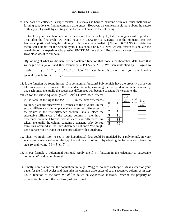#### EMI Hands-on Algebra

9. The data we collected is experimental. This makes it hard to examine with our usual methods of forming equations or finding common differences. However, we can learn a bit more about the nature of this type of growth by creating some theoretical data. Do the following:

Enter 3 on your calculator screen. Let's assume that in each cycle, half the Wiggies will reproduce. Thus after the first cycle, we would have  $3 + 0.5*3$  or 4.5 Wiggies. (For the moment, keep the fractional portion of Wiggles, although this is not very realistic.) Type  $+ 0.5*$ ANS to obtain the theoretical number for the second cycle. (This should be 6.75). Now we can *iterate* to simulate the remainder of the experiment by pressing ENTER 10 more times. Record your answer \_\_ How close was it to our data?

- 10. By looking at what we did here, we can obtain a function that models the theoretical data. Note that we began with  $y_0 = 3$  and then formed  $y_1 = 3*1.5 = y_0*1.5$ . We then multiplied by 1.5 again to obtain 2 th  $y_0 = 3$  and then formed  $y_1 = 3 \times 1.5 = y_0 \times 1.5$ . We then multiplied by 1.5 again to  $y_2 = 1.5 \times y_1 = 1.5 \times 1.5 \times 3 = (1.5)^2 \times 3$ . Continue this pattern until you have found a general formula for *n y* . *n y* = \_\_\_\_\_\_\_\_\_\_\_\_\_\_\_\_\_\_\_\_
- 11. Is the function we found in step 10 a polynomial function? Polynomials have the property that if you take successive differences in the dependent variable, assuming the independent variable increase by one each time, eventually the successive differences will become constant. For example, the

values for the cubic equation  $y = x^3 - 2x^2 + 1$  have been entered in the table at the right for  $x \in [0,6]$ . In the first-differences column, place the successive differences of the y-values. In the second-difference column place the successive differences of the values in the first-difference column. Finally, place the successive differences of the second column in the third – difference column. Observe that as successive differences are taken, eventually the column contains a constant. Why do you think this occurred in the third-difference column? You might test your answer by trying the same procedure with a quadratic.

|                  |                 | 1st  |                                                                   |
|------------------|-----------------|------|-------------------------------------------------------------------|
| $\boldsymbol{X}$ |                 | diff |                                                                   |
| $\overline{0}$   |                 |      | $\sqrt{\frac{2nd}{\text{diff}}}$ $\sqrt{\frac{3rd}{\text{diff}}}$ |
| 1                | $\overline{0}$  |      |                                                                   |
| $rac{2}{3}$      |                 |      |                                                                   |
|                  | 10              |      |                                                                   |
|                  | $\frac{33}{76}$ |      |                                                                   |
| $\frac{4}{5}$    |                 |      |                                                                   |

- 12. Thus, we might look to see if our hypothetical data could be modeled by a polynomial. In your scatterplot spreadsheet, enter the hypothetical data in column 3 by adapting the formula we obtained in step 10 and typing  $L3 = 3*(1.5)^{L1}$ .
- 13. Is our formula a polynomial formula? Apply the  $\Delta list$  function in the calculator to successive columns. What do you observe?
- 14. Finally, now assume that the population, initially 3 Wiggies, doubles each cycle. Make a chart on your paper for the first 6 cycles and then take the common differences of each successive column as in step 13. A function of the form  $y = ab^x$  is called an *exponential function*. Describe the property of exponential functions that we have just discovered.

\_\_\_\_\_\_\_\_\_\_\_\_\_\_\_\_\_\_\_\_\_\_\_\_\_\_\_\_\_\_\_\_\_\_\_\_\_\_\_\_\_\_\_\_\_\_\_\_\_\_\_\_\_\_\_\_\_\_\_\_\_\_\_\_\_\_\_\_\_\_\_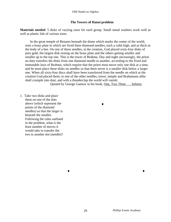#### **The Towers of Hanoi problem**

**Materials needed**: 5 disks of varying sizes for each group. Small metal washers work well as well as plastic lids of various sizes.

In the great temple of Benares beneath the dome which marks the center of the world, rests a brass plate in which are fixed three diamond needles, each a cubit high, and as thick as the body of a bee. On one of these needles, at the creation, God placed sixty-four disks of pure gold, the largest disk resting on the brass plate and the others getting smaller and smaller up to the top one. This is the tower of Brahma. Day and night unceasingly, the priest on duty transfers the disks from one diamond needle to another, according to the fixed and immutable laws of Brahma, which require that the priest must move only one disk at a time, and he must place these disks on needles so that there never is a smaller disk below a larger one. When all sixty-four discs shall have been transferred from the needle on which at the creation God placed them, to one of the other needles, tower, temple and Brahamans alike shall crumple into dust, and with a thunderclap the world will vanish.

Quoted by George Gamow in his book, One, Two Three . . . Infinity

.

. .

1. Take two disks and place them on one of the dots above (which represent the points of the diamond needles) so that the larger is beneath the smaller. Following the rules outlined in the problem, what is the least number of moves it would take to transfer the two to another dot (needle)?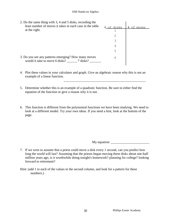| 2. Do the same thing with 3, 4 and 5 disks, recording the<br>least number of moves it takes in each case in the table | disks<br># ∩f | of moves<br># |
|-----------------------------------------------------------------------------------------------------------------------|---------------|---------------|
| at the right.                                                                                                         |               |               |
|                                                                                                                       |               |               |
|                                                                                                                       |               |               |
|                                                                                                                       | 4             |               |
|                                                                                                                       | 5             |               |
| 3. Do you see any patterns emerging? How many moves<br>would it take to move 6 disks? 7 disks?                        | 6             |               |

4. Plot these values in your calculator and graph. Give an algebraic reason why this is not an example of a linear function.

 $\overline{\phantom{a}}$  ,  $\overline{\phantom{a}}$  ,  $\overline{\phantom{a}}$  ,  $\overline{\phantom{a}}$  ,  $\overline{\phantom{a}}$  ,  $\overline{\phantom{a}}$  ,  $\overline{\phantom{a}}$  ,  $\overline{\phantom{a}}$  ,  $\overline{\phantom{a}}$  ,  $\overline{\phantom{a}}$  ,  $\overline{\phantom{a}}$  ,  $\overline{\phantom{a}}$  ,  $\overline{\phantom{a}}$  ,  $\overline{\phantom{a}}$  ,  $\overline{\phantom{a}}$  ,  $\overline{\phantom{a}}$ 

- 5. Determine whether this is an example of a quadratic function. Be sure to either find the equation of the function or give a reason why it is not.
- 6. This function is different from the polynomial functions we have been studying. We need to look at a different model. Try your own ideas. If you need a hint, look at the bottom of the page.

My equation:

- 7. If we were to assume that a priest could move a disk every 1 second, can you predict how long the world will last? Assuming that the priests began moving these disks about one-half million years ago, is it worthwhile doing tonight's homework? planning for college? looking forward to retirement?
- Hint: (add 1 to each of the values in the second column, and look for a pattern for these numbers.)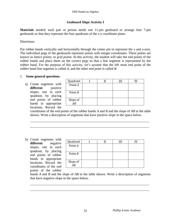## **Geoboard Slope Activity I**

**Materials** needed: each pair or person needs one 11-pin geoboard or arrange four 7-pin geoboards so that they represent the four quadrants of the *x-y* coordinate plane.

#### Directions:

Put rubber bands vertically and horizontally through the center pin to represent the *x* and *y*-axis. The individual pegs of the geoboards represent points with integer coordinates. These points are known as *lattice points*, or *grid points*. In this activity, the student will take the end points of the rubber bands and place them on the correct pegs so that a line segment is represented by the rubber band. For the purpose of this activity, let's assume that the left most end point of the rubber band line segment is called *A*, and the other end point is called *B*.

#### 1. **Some general questions.**

a) Create segments with **different** positive slopes, one in each quadrant, by placing end points of rubber bands in appropriate locations. Record the

| Quadrant                 |  |  |
|--------------------------|--|--|
| Point A                  |  |  |
|                          |  |  |
| Point $B$                |  |  |
| Slope of $\overline{AB}$ |  |  |
|                          |  |  |

coordinates of the end points of the rubber bands *A* and *B* and the slope of *AB* in the table shown. Write a description of segments that have positive slope in the space below.

\_\_\_\_\_\_\_\_\_\_\_\_\_\_\_\_\_\_\_\_\_\_\_\_\_\_\_\_\_\_\_\_\_\_\_\_\_\_\_\_\_\_\_\_\_\_\_\_\_\_\_\_\_\_\_\_\_\_\_\_\_\_\_\_\_\_\_\_\_\_\_ \_\_\_\_\_\_\_\_\_\_\_\_\_\_\_\_\_\_\_\_\_\_\_\_\_\_\_\_\_\_\_\_\_\_\_\_\_\_\_\_\_\_\_\_\_\_\_\_\_\_\_\_\_\_\_\_\_\_\_\_\_\_\_\_\_\_\_\_\_\_\_

b) Create segments with **different** negative slopes, one in each quadrant, by placing end points of rubber bands in appropriate locations. Record the coordinates of the end points of the rubber

| Quadrant                 |  |  |
|--------------------------|--|--|
| Point $A$                |  |  |
| Point $B$                |  |  |
| Slope of $\overline{AB}$ |  |  |

bands *A* and *B* and the slope of *AB* in the table shown. Write a description of segments that have negative slope in the space below.

\_\_\_\_\_\_\_\_\_\_\_\_\_\_\_\_\_\_\_\_\_\_\_\_\_\_\_\_\_\_\_\_\_\_\_\_\_\_\_\_\_\_\_\_\_\_\_\_\_\_\_\_\_\_\_\_\_\_\_\_\_\_\_\_\_\_\_\_\_\_\_ \_\_\_\_\_\_\_\_\_\_\_\_\_\_\_\_\_\_\_\_\_\_\_\_\_\_\_\_\_\_\_\_\_\_\_\_\_\_\_\_\_\_\_\_\_\_\_\_\_\_\_\_\_\_\_\_\_\_\_\_\_\_\_\_\_\_\_\_\_\_\_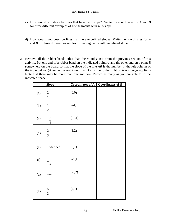c) How would you describe lines that have zero slope? Write the coordinates for *A* and *B* for three different examples of line segments with zero slope.

\_\_\_\_\_\_\_\_\_\_\_\_\_\_\_\_\_\_\_\_\_ \_\_\_\_\_\_\_\_\_\_\_\_\_\_\_\_\_\_\_\_\_\_\_ \_\_\_\_\_\_\_\_\_\_\_\_\_\_\_\_\_\_\_\_

d) How would you describe lines that have undefined slope? Write the coordinates for *A* and *B* for three different examples of line segments with undefined slope.

\_\_\_\_\_\_\_\_\_\_\_\_\_\_\_\_\_\_\_\_\_\_ \_\_\_\_\_\_\_\_\_\_\_\_\_\_\_\_\_\_\_\_\_\_\_ \_\_\_\_\_\_\_\_\_\_\_\_\_\_\_\_\_\_\_\_\_\_

2. Remove all the rubber bands other than the *x* and *y* axis from the previous section of this activity. Put one end of a rubber band on the indicated point *A*, and the other end on a point *B* somewhere on the board so that the slope of the line *AB* is the number in the left column of the table below. (Assume the restriction that B must be to the right of A no longer applies.) Note that there may be more than one solution. Record as many as you are able to in the indicated space.

|     | <b>Slope</b>  | <b>Coordinates of A</b> | Coordinates of $B$ |
|-----|---------------|-------------------------|--------------------|
| (a) | $\frac{2}{1}$ | (0,0)                   |                    |
| (b) | $\frac{1}{2}$ | $(-4,3)$                |                    |
| (c) | $rac{3}{1}$   | $(-1,1)$                |                    |
| (d) | $rac{2}{3}$   | (3,2)                   |                    |
| (e) | Undefined     | (3,1)                   |                    |
| (f) | $rac{3}{4}$   | $(-1,1)$                |                    |
| (g) | $rac{3}{2}$   | $(-3,2)$                |                    |
| (h) | $rac{5}{3}$   | (4,1)                   |                    |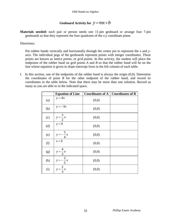# Geoboard Activity for  $y = mx + b$

**Materials needed:** each pair or person needs one 11-pin geoboard or arrange four 7-pin geoboards so that they represent the four quadrants of the *x-y* coordinate plane.

Directions:

Put rubber bands vertically and horizontally through the center pin to represent the *x* and *y*axis. The individual pegs of the geoboards represent points with integer coordinates. These points are known as *lattice points*, or *grid points*. In this activity, the student will place the endpoints of the rubber band on grid points *A* and *B* so that the rubber band will be on the line whose equation is given in slope-intercept form in the left column of each table.

I. In this section, one of the endpoints of the rubber band is always the origin (0,0). Determine the coordinates of point *B* for the other endpoint of the rubber band, and record its coordinates in the table below. Note that there may be more than one solution. Record as many as you are able to in the indicated space.

|     | <b>Equation of Line</b>       | <b>Coordinates of A</b> | <b>Coordinates of B</b> |
|-----|-------------------------------|-------------------------|-------------------------|
| (a) | $y = 4x$                      | (0,0)                   |                         |
| (b) | $y = -3x$                     | (0,0)                   |                         |
| (c) | $y = \frac{3}{2}x$<br>$y = 0$ | (0,0)                   |                         |
| (d) |                               | (0,0)                   |                         |
| (e) | $y=-\frac{5}{4}x$             | (0,0)                   |                         |
| (f) | $x = 0$                       | (0,0)                   |                         |
| (g) | $y = \frac{4}{3}x$            | (0,0)                   |                         |
| (h) | $y=-\frac{2}{5}x$             | (0,0)                   |                         |
| (i) | $\frac{1}{y} = \frac{2}{3}x$  | (0,0)                   |                         |